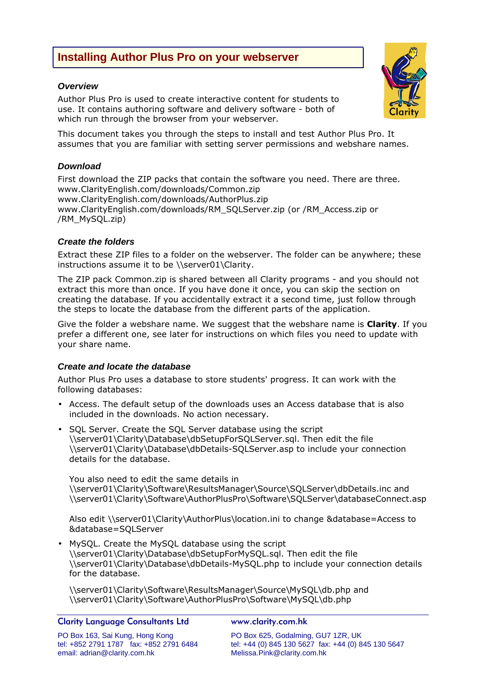# **Installing Author Plus Pro on your webserver**

### *Overview*

Author Plus Pro is used to create interactive content for students to use. It contains authoring software and delivery software - both of which run through the browser from your webserver.

This document takes you through the steps to install and test Author Plus Pro. It assumes that you are familiar with setting server permissions and webshare names.

### *Download*

First download the ZIP packs that contain the software you need. There are three. www.ClarityEnglish.com/downloads/Common.zip www.ClarityEnglish.com/downloads/AuthorPlus.zip www.ClarityEnglish.com/downloads/RM\_SQLServer.zip (or /RM\_Access.zip or /RM\_MySQL.zip)

### *Create the folders*

Extract these ZIP files to a folder on the webserver. The folder can be anywhere; these instructions assume it to be \\server01\Clarity.

The ZIP pack Common.zip is shared between all Clarity programs - and you should not extract this more than once. If you have done it once, you can skip the section on creating the database. If you accidentally extract it a second time, just follow through the steps to locate the database from the different parts of the application.

Give the folder a webshare name. We suggest that the webshare name is **Clarity**. If you prefer a different one, see later for instructions on which files you need to update with your share name.

### *Create and locate the database*

Author Plus Pro uses a database to store students' progress. It can work with the following databases:

- Access. The default setup of the downloads uses an Access database that is also included in the downloads. No action necessary.
- SQL Server. Create the SQL Server database using the script \\server01\Clarity\Database\dbSetupForSQLServer.sql. Then edit the file \\server01\Clarity\Database\dbDetails-SQLServer.asp to include your connection details for the database.

You also need to edit the same details in \\server01\Clarity\Software\ResultsManager\Source\SQLServer\dbDetails.inc and \\server01\Clarity\Software\AuthorPlusPro\Software\SQLServer\databaseConnect.asp

Also edit \\server01\Clarity\AuthorPlus\location.ini to change &database=Access to &database=SQLServer

• MySQL. Create the MySQL database using the script \\server01\Clarity\Database\dbSetupForMySQL.sql. Then edit the file \\server01\Clarity\Database\dbDetails-MySQL.php to include your connection details for the database.

\\server01\Clarity\Software\ResultsManager\Source\MySQL\db.php and \\server01\Clarity\Software\AuthorPlusPro\Software\MySQL\db.php

### Clarity Language Consultants Ltd www.clarity.com.hk

PO Box 163, Sai Kung, Hong Kong PO Box 625, Godalming, GU7 1ZR, UK email: adrian@clarity.com.hk Melissa.Pink@clarity.com.hk

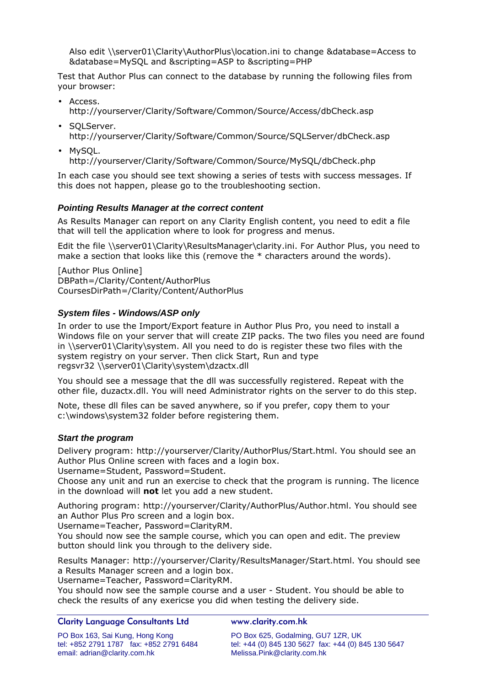Also edit \\server01\Clarity\AuthorPlus\location.ini to change &database=Access to &database=MySQL and &scripting=ASP to &scripting=PHP

Test that Author Plus can connect to the database by running the following files from your browser:

- Access. http://yourserver/Clarity/Software/Common/Source/Access/dbCheck.asp
- SQLServer. http://yourserver/Clarity/Software/Common/Source/SQLServer/dbCheck.asp
- MySQL. http://yourserver/Clarity/Software/Common/Source/MySQL/dbCheck.php

In each case you should see text showing a series of tests with success messages. If this does not happen, please go to the troubleshooting section.

# *Pointing Results Manager at the correct content*

As Results Manager can report on any Clarity English content, you need to edit a file that will tell the application where to look for progress and menus.

Edit the file \\server01\Clarity\ResultsManager\clarity.ini. For Author Plus, you need to make a section that looks like this (remove the  $*$  characters around the words).

[Author Plus Online] DBPath=/Clarity/Content/AuthorPlus CoursesDirPath=/Clarity/Content/AuthorPlus

# *System files - Windows/ASP only*

In order to use the Import/Export feature in Author Plus Pro, you need to install a Windows file on your server that will create ZIP packs. The two files you need are found in \\server01\Clarity\system. All you need to do is register these two files with the system registry on your server. Then click Start, Run and type regsvr32 \\server01\Clarity\system\dzactx.dll

You should see a message that the dll was successfully registered. Repeat with the other file, duzactx.dll. You will need Administrator rights on the server to do this step.

Note, these dll files can be saved anywhere, so if you prefer, copy them to your c:\windows\system32 folder before registering them.

# *Start the program*

Delivery program: http://yourserver/Clarity/AuthorPlus/Start.html. You should see an Author Plus Online screen with faces and a login box.

Username=Student, Password=Student.

Choose any unit and run an exercise to check that the program is running. The licence in the download will **not** let you add a new student.

Authoring program: http://yourserver/Clarity/AuthorPlus/Author.html. You should see an Author Plus Pro screen and a login box.

Username=Teacher, Password=ClarityRM.

You should now see the sample course, which you can open and edit. The preview button should link you through to the delivery side.

Results Manager: http://yourserver/Clarity/ResultsManager/Start.html. You should see a Results Manager screen and a login box.

Username=Teacher, Password=ClarityRM.

You should now see the sample course and a user - Student. You should be able to check the results of any exericse you did when testing the delivery side.

### Clarity Language Consultants Ltd www.clarity.com.hk

PO Box 163, Sai Kung, Hong Kong PO Box 625, Godalming, GU7 1ZR, UK email: adrian@clarity.com.hk Melissa.Pink@clarity.com.hk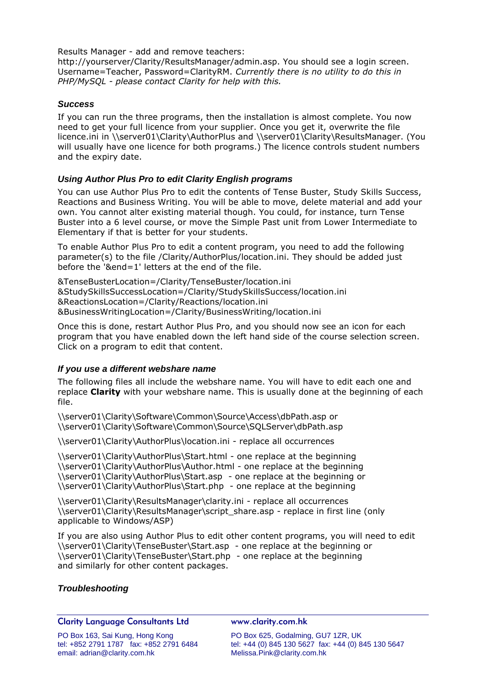Results Manager - add and remove teachers:

http://yourserver/Clarity/ResultsManager/admin.asp. You should see a login screen. Username=Teacher, Password=ClarityRM. *Currently there is no utility to do this in PHP/MySQL - please contact Clarity for help with this.*

### *Success*

If you can run the three programs, then the installation is almost complete. You now need to get your full licence from your supplier. Once you get it, overwrite the file licence.ini in \\server01\Clarity\AuthorPlus and \\server01\Clarity\ResultsManager. (You will usually have one licence for both programs.) The licence controls student numbers and the expiry date.

### *Using Author Plus Pro to edit Clarity English programs*

You can use Author Plus Pro to edit the contents of Tense Buster, Study Skills Success, Reactions and Business Writing. You will be able to move, delete material and add your own. You cannot alter existing material though. You could, for instance, turn Tense Buster into a 6 level course, or move the Simple Past unit from Lower Intermediate to Elementary if that is better for your students.

To enable Author Plus Pro to edit a content program, you need to add the following parameter(s) to the file /Clarity/AuthorPlus/location.ini. They should be added just before the '&end=1' letters at the end of the file.

&TenseBusterLocation=/Clarity/TenseBuster/location.ini &StudySkillsSuccessLocation=/Clarity/StudySkillsSuccess/location.ini &ReactionsLocation=/Clarity/Reactions/location.ini &BusinessWritingLocation=/Clarity/BusinessWriting/location.ini

Once this is done, restart Author Plus Pro, and you should now see an icon for each program that you have enabled down the left hand side of the course selection screen. Click on a program to edit that content.

### *If you use a different webshare name*

The following files all include the webshare name. You will have to edit each one and replace **Clarity** with your webshare name. This is usually done at the beginning of each file.

\\server01\Clarity\Software\Common\Source\Access\dbPath.asp or \\server01\Clarity\Software\Common\Source\SQLServer\dbPath.asp

\\server01\Clarity\AuthorPlus\location.ini - replace all occurrences

\\server01\Clarity\AuthorPlus\Start.html - one replace at the beginning \\server01\Clarity\AuthorPlus\Author.html - one replace at the beginning \\server01\Clarity\AuthorPlus\Start.asp - one replace at the beginning or \\server01\Clarity\AuthorPlus\Start.php - one replace at the beginning

\\server01\Clarity\ResultsManager\clarity.ini - replace all occurrences \\server01\Clarity\ResultsManager\script\_share.asp - replace in first line (only applicable to Windows/ASP)

If you are also using Author Plus to edit other content programs, you will need to edit \\server01\Clarity\TenseBuster\Start.asp - one replace at the beginning or \\server01\Clarity\TenseBuster\Start.php - one replace at the beginning and similarly for other content packages.

### *Troubleshooting*

### Clarity Language Consultants Ltd www.clarity.com.hk

PO Box 163, Sai Kung, Hong Kong PO Box 625, Godalming, GU7 1ZR, UK email: adrian@clarity.com.hk Melissa.Pink@clarity.com.hk